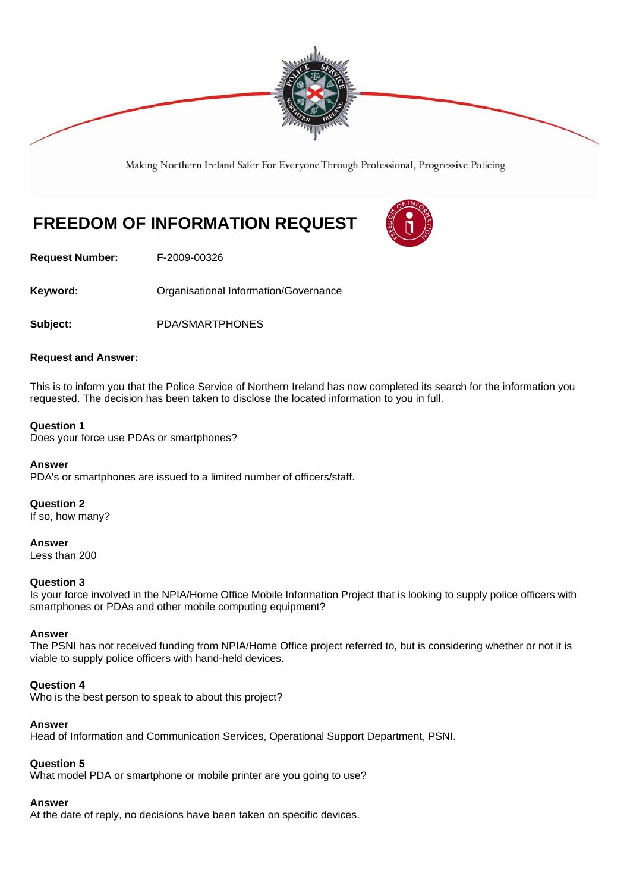

Making Northern Ireland Safer For Everyone Through Professional, Progressive Policing

# **FREEDOM OF INFORMATION REQUEST**



**Request Number:** F-2009-00326

Keyword: **Communistry Communists** Organisational Information/Governance

**Subject:** PDA/SMARTPHONES

#### **Request and Answer:**

This is to inform you that the Police Service of Northern Ireland has now completed its search for the information you requested. The decision has been taken to disclose the located information to you in full.

#### **Question 1**

Does your force use PDAs or smartphones?

#### **Answer**

PDA's or smartphones are issued to a limited number of officers/staff.

# **Question 2**

If so, how many?

**Answer**  Less than 200

#### **Question 3**

Is your force involved in the NPIA/Home Office Mobile Information Project that is looking to supply police officers with smartphones or PDAs and other mobile computing equipment?

# **Answer**

The PSNI has not received funding from NPIA/Home Office project referred to, but is considering whether or not it is viable to supply police officers with hand-held devices.

# **Question 4**

Who is the best person to speak to about this project?

# **Answer**

Head of Information and Communication Services, Operational Support Department, PSNI.

# **Question 5**

What model PDA or smartphone or mobile printer are you going to use?

# **Answer**

At the date of reply, no decisions have been taken on specific devices.